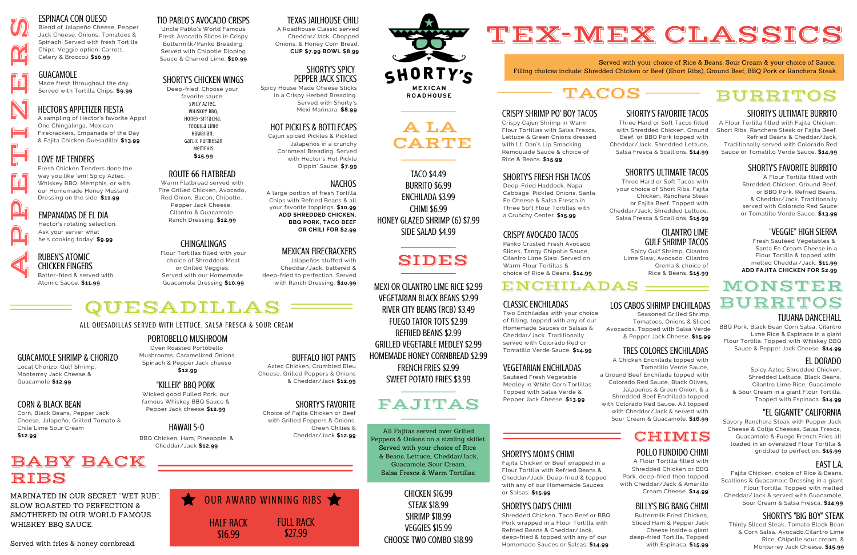

E

T

I

N.

E

#### RUBEN'S ATOMIC<br>CHICKEN FINGERS<br>Batter-fried & serv CHICKEN FINGERS Batter-fried & served with

Atomic Sauce. **\$11.99**

## SHORTY'S CHICKEN WINGS

Deep-fried. Choose your favorite sauce:

> Spicy Aztec, Whiskey BBQ, Honey-Sriracha, Tequila Lime Hawaiian, Garlic Parmesan

#### Memphis **\$15.99**

#### HOT PICKLES & BOTTLECAPS

Cajun spiced Pickles & Pickled Jalapeños in a crunchy Cornmeal Breading. Served with Hector's Hot Pickle Dippin' Sauce. **\$7.99**

#### NACHOS

A large portion of fresh Tortilla Chips with Refried Beans & all your favorite toppings. **\$10.99 ADD SHREDDED CHICKEN, BBQ PORK, TACO BEEF OR CHILI FOR \$2.99**

#### ROUTE 66 FLATBREAD

Warm Flatbread served with Fire Grilled Chicken, Avocado, Red Onion, Bacon, Chipotle, Pepper Jack Cheese, Cilantro & Guacamole Ranch Dressing. **\$12.99**

#### TEXAS JAILHOUSE CHILI

A Roadhouse Classic served Cheddar/Jack, Chopped Onions, & Honey Corn Bread. **CUP \$7.99 BOWL \$8.99**



# TACOS

Served with your choice of Rice & Beans, Sour Cream & your choice of Sauce. Filling choices include: Shredded Chicken or Beef (Short Ribs), Ground Beef, BBQ Pork or Ranchera Steak.



#### CRISPY SHRIMP PO' BOY TACOS

Crispy Cajun Shrimp in Warm Flour Tortillas with Salsa Fresca, Lettuce & Green Onions dressed with Lt. Dan's Lip Smacking Remoulade Sauce & choice of Rice & Beans. **\$15.99**

#### SHORTY'S FRESH FISH TACOS

Deep-Fried Haddock, Napa Cabbage, Pickled Onions, Santa Fe Cheese & Salsa Fresca in Three Soft Flour Tortillas with a Crunchy Center. **\$15.99**

#### CRISPY AVOCADO TACOS

Panko Crusted Fresh Avocado Slices, Tangy Chipotle Sauce, Cilantro Lime Slaw. Served on Warm Flour Tortillas & choice of Rice & Beans. **\$14.99**

ENCHILADAS

#### TRES COLORES ENCHILADAS

## **CHIMIS**



A Chicken Enchilada topped with Tomatillo Verde Sauce, a Ground Beef Enchilada topped with Colorado Red Sauce, Black Olives, Jalapeños & Green Onion, & a Shredded Beef Enchilada topped with Colorado Red Sauce. All topped with Cheddar/Jack & served with Sour Cream & Guacamole. **\$16.99**

 Dressing on the side. **\$11.99** Fresh Chicken Tenders done the way you like 'em! Spicy Aztec, Whiskey BBQ, Memphis, or with our Homemade Honey Mustard

CLASSIC ENCHILADAS

Two Enchiladas with your choice of filling, topped with any of our Homemade Sauces or Salsas & Cheddar/Jack. Traditionally served with Colorado Red or Tomatillo Verde Sauce. **\$14.99**

## SHORTY'S MOM'S CHIMI

Fajita Chicken or Beef wrapped in a Flour Tortilla with Refried Beans & Cheddar/Jack. Deep-fried & topped with any of our Homemade Sauces or Salsas. **\$15.99**

#### SHORTY'S DAD'S CHIMI

Shredded Chicken, Taco Beef or BBQ Pork wrapped in a Flour Tortilla with Refried Beans & Cheddar/Jack, deep-fried & topped with any of our Homemade Sauces or Salsas. **\$14.99**

## FAJITAS

CHICKEN \$16.99 STEAK \$18.99 SHRIMP \$18.99 VEGGIES \$15.99 CHOOSE TWO COMBO \$18.99

All Fajitas served over Grilled Peppers & Onions on a sizzling skillet. Served with your choice of Rice & Beans, Lettuce,. Cheddar/Jack, Guacamole, Sour Cream, Salsa Fresca & Warm Tortillas.

A LA CARTE

TACO \$4.49 BURRITO \$6.99 ENCHILADA \$3.99 CHIMI \$6.99 HONEY GLAZED SHRIMP (6) \$7.99 SIDE SALAD \$4.99

# SIDES

MEXI OR CILANTRO LIME RICE \$2.99 VEGETARIAN BLACK BEANS \$2.99 RIVER CITY BEANS (RCB) \$3.49 FUEGO TATOR TOTS \$2.99 REFRIED BEANS \$2.99 GRILLED VEGETABLE MEDLEY \$2.99 HOMEMADE HONEY CORNBREAD \$2.99 FRENCH FRIES \$2.99 SWEET POTATO FRIES \$3.99

#### ESPINACA CON QUESO

#### GUACAMOLE

Made fresh throughout the day. Served with Tortilla Chips. **\$9.99**

CHINGALINGAS

Flour Tortillas filled with your

choice of Shredded Meat or Grilled Veggies. Served with our Homemade Guacamole Dressing **\$10.99**

#### LOVE ME TENDERS

#### TIO PABLO'S AVOCADO CRISPS

Uncle Pablo's World Famous Fresh Avocado Slices in Crispy Buttermilk/Panko Breading. Served with Chipotle Dipping Sauce & Charred Lime. **\$10.99**

> HALF RACK \$16.99 FULL RACK \$27.99 OUR AWARD WINNING RIBS

# MEXICAN FIRECRACKERS

 Hector's rotating selection. Ask your server what he's cooking today! **\$9.99**



Jalapeños stuffed with Cheddar/Jack, battered & deep-fried to perfection. Served with Ranch Dressing. **\$1o.99**

 & Fajita Chicken Quesadilla! **\$13.99** One Chingalinga, Mexican A sampling of Hector's favorite Apps! Firecrackers, Empanada of the Day

#### SHORTY'S SPICY PEPPER JACK STICKS

Spicy House Made Cheese Sticks in a Crispy Herbed Breading. Served with Shorty's Mexi Marinara. **\$8.99**

#### SHORTY'S FAVORITE TACOS

Three Hard or Soft Tacos filled with Shredded Chicken, Ground Beef, or BBQ Pork topped with Cheddar/Jack, Shredded Lettuce, Salsa Fresca & Scallions. **\$14.99**

#### SHORTY'S ULTIMATE TACOS

Three Hard or Soft Tacos with your choice of Short Ribs, Fajita Chicken, Ranchera Steak or Fajita Beef. Topped with Cheddar/Jack, Shredded Lettuce, Salsa Fresca & Scallions. **\$15.99**

#### CILANTRO LIME GULF SHRIMP TACOS

Spicy Gulf Shrimp, Cilantro Lime Slaw, Avocado, Cilantro Crema & choice of Rice & Beans. **\$15.99**



## BURRITOS

#### SHORTY'S ULTIMATE BURRITO

A Flour Tortilla filled with Fajita Chicken, Short Ribs, Ranchera Steak or Fajita Beef, Refried Beans & Cheddar/Jack. Traditionally served with Colorado Red Sauce or Tomatillo Verde Sauce. **\$14.99**

#### SHORTY'S FAVORITE BURRITO

A Flour Tortilla filled with Shredded Chicken, Ground Beef, or BBQ Pork, Refried Beans, & Cheddar/Jack. Traditionally served with Colorado Red Sauce or Tomatillo Verde Sauce. **\$13.99**

#### "VEGGIE" HIGH SIERRA

Fresh Sautéed Vegetables & Santa Fe Cream Cheese in a Flour Tortilla & topped with melted Cheddar/Jack. **\$11.99 ADD FAJITA CHICKEN FOR \$2.99**

#### EL DORADO

Spicy Aztec Shredded Chicken, Shredded Lettuce, Black Beans, Cilantro Lime Rice, Guacamole & Sour Cream in a giant Flour Tortilla. Topped with Espinaca. **\$14.99**

#### TIJUANA DANCEHALL

BBQ Pork, Black Bean Corn Salsa, Cilantro Lime Rice & Espinaca in a giant Flour Tortilla. Topped with Whiskey BBQ Sauce & Pepper Jack Cheese. **\$14.99**

#### "EL GIGANTE" CALIFORNIA

Savory Ranchera Steak with Pepper Jack Cheese & Cotija Cheeses, Salsa Fresca, Guacamole & Fuego French Fries all loaded in an oversized Flour Tortilla & griddled to perfection. **\$15.99**

#### SHORTY'S "BIG BOY" STEAK

Thinly Sliced Steak, Tomato Black Bean & Corn Salsa, Avocado,Cilantro Lime Rice, Chipotle sour cream, & Monterrey Jack Cheese. **\$15.99**

#### EAST L.A.

Fajita Chicken, choice of Rice & Beans, Scallions & Guacamole Dressing in a giant Flour Tortilla. Topped with melted Cheddar/Jack & served with Guacamole, Sour Cream & Salsa Fresca. **\$14.99**

## MONSTER BURRITOS

## VEGETARIAN ENCHILADAS

Sautéed Fresh Vegetable Medley in White Corn Tortillas. Topped with Salsa Verde & Pepper Jack Cheese. **\$13.99**

#### LOS CABOS SHRIMP ENCHILADAS

Seasoned Grilled Shrimp, Tomatoes, Onions & Sliced Avocados. Topped with Salsa Verde & Pepper Jack Cheese. **\$15.99**

#### POLLO FUNDIDO CHIMI

A Flour Tortilla filled with Shredded Chicken or BBQ Pork, deep-fried then topped with Cheddar/Jack & Amarillo Cream Cheese. **\$14.99**

#### BILLY'S BIG BANG CHIMI

Buttermilk Fried Chicken, Sliced Ham & Pepper Jack Cheese inside a giant deep-fried Tortilla. Topped with Espinaca. **\$15.99**

# QUESADILLAS

GUACAMOLE SHRIMP & CHORIZO

Local Chorizo, Gulf Shrimp, Monterrey Jack Cheese & Guacamole **\$12.99**

CORN & BLACK BEAN

Corn, Black Beans, Pepper Jack Cheese, Jalapeño, Grilled Tomato &

Chile Lime Sour Cream

**\$12.99**

#### HAWAII 5-0

BBQ Chicken, Ham, Pineapple, & Cheddar/Jack **\$12.99**

#### PORTOBELLO MUSHROOM

Oven Roasted Portobello Mushrooms, Caramelized Onions, Spinach & Pepper Jack cheese **\$12.99**

#### "KILLER" BBO PORK

## SHORTY'S FAVORITE

Choice of Fajita Chicken or Beef with Grilled Peppers & Onions,



Green Chilies & Cheddar/Jack **\$12.99**

#### BUFFALO HOT PANTS Aztec Chicken, Crumbled Bleu

Cheese, Grilled Peppers & Onions & Cheddar/Jack **\$12.99**

Wicked good Pulled Pork, our famous Whiskey BBQ Sauce & Pepper Jack cheese **\$12.99**

#### ALL QUESADILLAS SERVED WITH LETTUCE, SALSA FRESCA & SOUR CREAM

# BABY BACK RIBS

MARINATED IN OUR SECRET "WET RUB", SLOW ROASTED TO PERFECTION & SMOTHERED IN OUR WORLD FAMOUS WHISKEY BBQ SAUCE.

#### EMPANADAS DE EL DIA

## HECTOR'S APPETIZER FIESTA